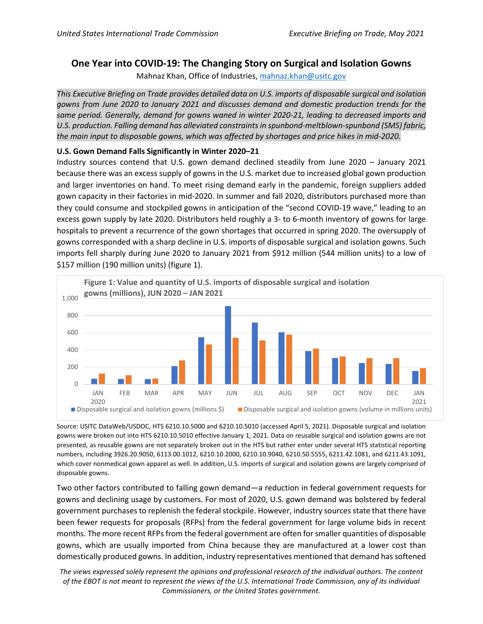# **One Year into COVID-19: The Changing Story on Surgical and Isolation Gowns**

Mahnaz Khan, Office of Industries, [mahnaz.khan@usitc.gov](mailto:mahnaz.khan@usitc.gov)

*This Executive Briefing on Trade provides detailed data on U.S. imports of disposable surgical and isolation gowns from June 2020 to January 2021 and discusses demand and domestic production trends for the same period. Generally, demand for gowns waned in winter 2020-21, leading to decreased imports and U.S. production. Falling demand has alleviated constraints in spunbond-meltblown-spunbond (SMS) fabric, the main input to disposable gowns, which was affected by shortages and price hikes in mid-2020.*

# **U.S. Gown Demand Falls Significantly in Winter 2020–21**

Industry sources contend that U.S. gown demand declined steadily from June 2020 – January 2021 because there was an excess supply of gowns in the U.S. market due to increased global gown production and larger inventories on hand. To meet rising demand early in the pandemic, foreign suppliers added gown capacity in their factories in mid-2020. In summer and fall 2020, distributors purchased more than they could consume and stockpiled gowns in anticipation of the "second COVID-19 wave," leading to an excess gown supply by late 2020. Distributors held roughly a 3- to 6-month inventory of gowns for large hospitals to prevent a recurrence of the gown shortages that occurred in spring 2020. The oversupply of gowns corresponded with a sharp decline in U.S. imports of disposable surgical and isolation gowns. Such imports fell sharply during June 2020 to January 2021 from \$912 million (544 million units) to a low of \$157 million (190 million units) (figure 1).



Source: USITC DataWeb/USDOC, HTS 6210.10.5000 and 6210.10.5010 (accessed April 5, 2021). Disposable surgical and isolation gowns were broken out into HTS 6210.10.5010 effective January 1, 2021. Data on reusable surgical and isolation gowns are not presented, as reusable gowns are not separately broken out in the HTS but rather enter under several HTS statistical reporting numbers, including 3926.20.9050, 6113.00.1012, 6210.10.2000, 6210.10.9040, 6210.50.5555, 6211.42.1081, and 6211.43.1091, which cover nonmedical gown apparel as well. In addition, U.S. imports of surgical and isolation gowns are largely comprised of disposable gowns.

Two other factors contributed to falling gown demand—a reduction in federal government requests for gowns and declining usage by customers. For most of 2020, U.S. gown demand was bolstered by federal government purchases to replenish the federal stockpile. However, industry sources state that there have been fewer requests for proposals (RFPs) from the federal government for large volume bids in recent months. The more recent RFPs from the federal government are often for smaller quantities of disposable gowns, which are usually imported from China because they are manufactured at a lower cost than domestically produced gowns. In addition, industry representatives mentioned that demand has softened

*The views expressed solely represent the opinions and professional research of the individual authors. The content of the EBOT is not meant to represent the views of the U.S. International Trade Commission, any of its individual Commissioners, or the United States government.*